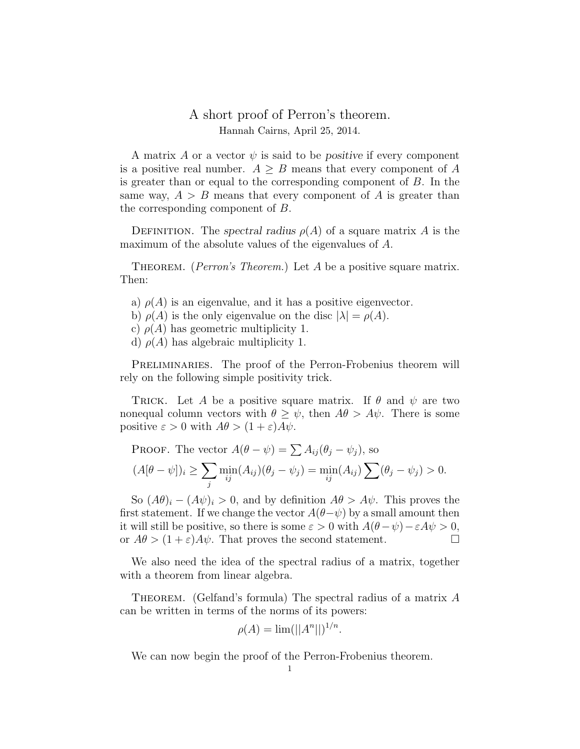## A short proof of Perron's theorem. Hannah Cairns, April 25, 2014.

A matrix A or a vector  $\psi$  is said to be positive if every component is a positive real number.  $A \geq B$  means that every component of A is greater than or equal to the corresponding component of B. In the same way,  $A > B$  means that every component of A is greater than the corresponding component of B.

DEFINITION. The spectral radius  $\rho(A)$  of a square matrix A is the maximum of the absolute values of the eigenvalues of A.

THEOREM. (*Perron's Theorem.*) Let A be a positive square matrix. Then:

- a)  $\rho(A)$  is an eigenvalue, and it has a positive eigenvector.
- b)  $\rho(A)$  is the only eigenvalue on the disc  $|\lambda| = \rho(A)$ .
- c)  $\rho(A)$  has geometric multiplicity 1.
- d)  $\rho(A)$  has algebraic multiplicity 1.

PRELIMINARIES. The proof of the Perron-Frobenius theorem will rely on the following simple positivity trick.

TRICK. Let A be a positive square matrix. If  $\theta$  and  $\psi$  are two nonequal column vectors with  $\theta \geq \psi$ , then  $A\theta > A\psi$ . There is some positive  $\varepsilon > 0$  with  $A\theta > (1 + \varepsilon)A\psi$ .

PROOF. The vector  $A(\theta - \psi) = \sum A_{ij} (\theta_j - \psi_j)$ , so  $(A[\theta - \psi])_i \geq \sum$ j  $\min_{ij} (A_{ij})(\theta_j - \psi_j) = \min_{ij} (A_{ij}) \sum_{j} (\theta_j - \psi_j) > 0.$ 

So  $(A\theta)_i - (A\psi)_i > 0$ , and by definition  $A\theta > A\psi$ . This proves the first statement. If we change the vector  $A(\theta-\psi)$  by a small amount then it will still be positive, so there is some  $\varepsilon > 0$  with  $A(\theta - \psi) - \varepsilon A \psi > 0$ , or  $A\theta > (1+\varepsilon)A\psi$ . That proves the second statement.

We also need the idea of the spectral radius of a matrix, together with a theorem from linear algebra.

THEOREM. (Gelfand's formula) The spectral radius of a matrix  $A$ can be written in terms of the norms of its powers:

$$
\rho(A) = \lim (||A^n||)^{1/n}.
$$

We can now begin the proof of the Perron-Frobenius theorem.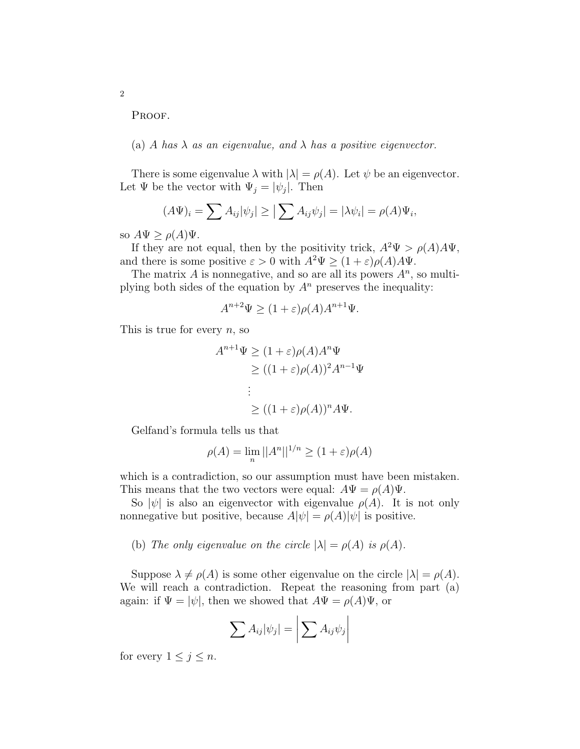PROOF.

2

## (a) A has  $\lambda$  as an eigenvalue, and  $\lambda$  has a positive eigenvector.

There is some eigenvalue  $\lambda$  with  $|\lambda| = \rho(A)$ . Let  $\psi$  be an eigenvector. Let  $\Psi$  be the vector with  $\Psi_j = |\psi_j|$ . Then

$$
(A\Psi)_i = \sum A_{ij} |\psi_j| \geq |\sum A_{ij}\psi_j| = |\lambda \psi_i| = \rho(A)\Psi_i,
$$

so  $A\Psi \geq \rho(A)\Psi$ .

If they are not equal, then by the positivity trick,  $A^2\Psi > \rho(A)A\Psi$ , and there is some positive  $\varepsilon > 0$  with  $A^2 \Psi \ge (1 + \varepsilon) \rho(A) A \Psi$ .

The matrix  $A$  is nonnegative, and so are all its powers  $A<sup>n</sup>$ , so multiplying both sides of the equation by  $A<sup>n</sup>$  preserves the inequality:

$$
A^{n+2}\Psi \ge (1+\varepsilon)\rho(A)A^{n+1}\Psi.
$$

This is true for every  $n$ , so

$$
A^{n+1}\Psi \ge (1+\varepsilon)\rho(A)A^n\Psi
$$
  
\n
$$
\ge ((1+\varepsilon)\rho(A))^2 A^{n-1}\Psi
$$
  
\n:  
\n
$$
\ge ((1+\varepsilon)\rho(A))^n A\Psi.
$$

Gelfand's formula tells us that

$$
\rho(A) = \lim_{n} ||A^n||^{1/n} \ge (1 + \varepsilon)\rho(A)
$$

which is a contradiction, so our assumption must have been mistaken. This means that the two vectors were equal:  $A\Psi = \rho(A)\Psi$ .

So  $|\psi|$  is also an eigenvector with eigenvalue  $\rho(A)$ . It is not only nonnegative but positive, because  $A|\psi| = \rho(A)|\psi|$  is positive.

(b) The only eigenvalue on the circle  $|\lambda| = \rho(A)$  is  $\rho(A)$ .

Suppose  $\lambda \neq \rho(A)$  is some other eigenvalue on the circle  $|\lambda| = \rho(A)$ . We will reach a contradiction. Repeat the reasoning from part (a) again: if  $\Psi = |\psi|$ , then we showed that  $A\Psi = \rho(A)\Psi$ , or

$$
\sum A_{ij}|\psi_j| = \left| \sum A_{ij}\psi_j \right|
$$

for every  $1 \leq j \leq n$ .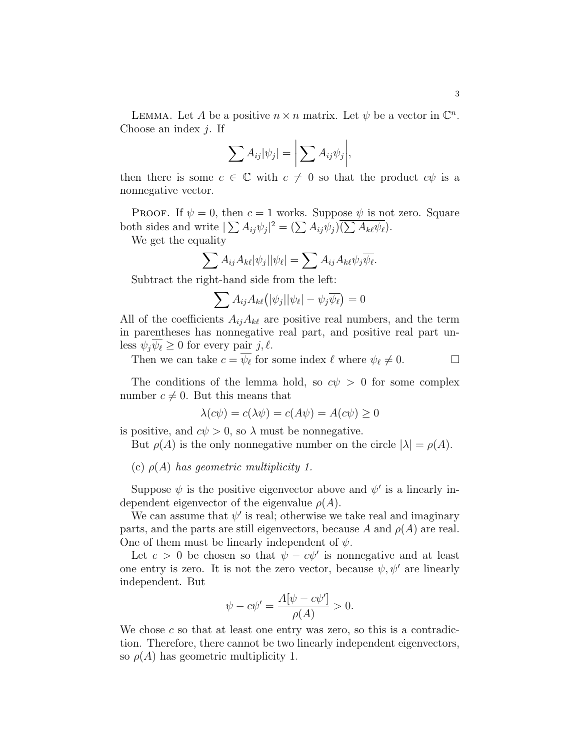LEMMA. Let A be a positive  $n \times n$  matrix. Let  $\psi$  be a vector in  $\mathbb{C}^n$ . Choose an index  $j$ . If

$$
\sum A_{ij}|\psi_j| = \bigg|\sum A_{ij}\psi_j\bigg|,
$$

then there is some  $c \in \mathbb{C}$  with  $c \neq 0$  so that the product  $c\psi$  is a nonnegative vector.

PROOF. If  $\psi = 0$ , then  $c = 1$  works. Suppose  $\psi$  is not zero. Square both sides and write  $|\sum A_{ij}\psi_j|^2 = (\sum A_{ij}\psi_j)\overline{(\sum A_{k\ell}\psi_\ell)}$ .

We get the equality

$$
\sum A_{ij} A_{k\ell} |\psi_j| |\psi_\ell| = \sum A_{ij} A_{k\ell} \psi_j \overline{\psi_\ell}.
$$

Subtract the right-hand side from the left:

$$
\sum A_{ij} A_{k\ell} (|\psi_j| |\psi_\ell| - \psi_j \overline{\psi_\ell}) = 0
$$

All of the coefficients  $A_{ij}A_{k\ell}$  are positive real numbers, and the term in parentheses has nonnegative real part, and positive real part unless  $\psi_i \overline{\psi_\ell} \geq 0$  for every pair j,  $\ell$ .

Then we can take  $c = \overline{\psi_{\ell}}$  for some index  $\ell$  where  $\psi_{\ell} \neq 0$ .

The conditions of the lemma hold, so  $c\psi > 0$  for some complex number  $c \neq 0$ . But this means that

$$
\lambda(c\psi) = c(\lambda\psi) = c(A\psi) = A(c\psi) \ge 0
$$

is positive, and  $c\psi > 0$ , so  $\lambda$  must be nonnegative.

But  $\rho(A)$  is the only nonnegative number on the circle  $|\lambda| = \rho(A)$ .

(c)  $\rho(A)$  has geometric multiplicity 1.

Suppose  $\psi$  is the positive eigenvector above and  $\psi'$  is a linearly independent eigenvector of the eigenvalue  $\rho(A)$ .

We can assume that  $\psi'$  is real; otherwise we take real and imaginary parts, and the parts are still eigenvectors, because A and  $\rho(A)$  are real. One of them must be linearly independent of  $\psi$ .

Let  $c > 0$  be chosen so that  $\psi - c\psi'$  is nonnegative and at least one entry is zero. It is not the zero vector, because  $\psi, \psi'$  are linearly independent. But

$$
\psi - c\psi' = \frac{A[\psi - c\psi']}{\rho(A)} > 0.
$$

We chose  $c$  so that at least one entry was zero, so this is a contradiction. Therefore, there cannot be two linearly independent eigenvectors, so  $\rho(A)$  has geometric multiplicity 1.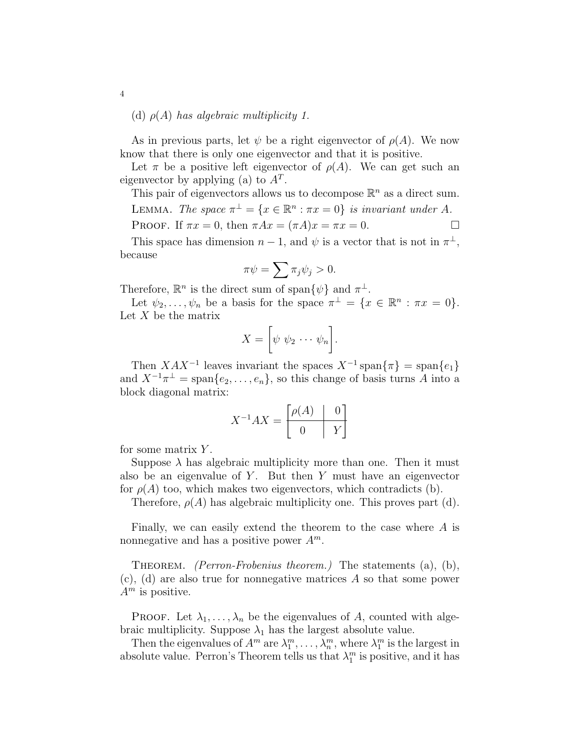## (d)  $\rho(A)$  has algebraic multiplicity 1.

As in previous parts, let  $\psi$  be a right eigenvector of  $\rho(A)$ . We now know that there is only one eigenvector and that it is positive.

Let  $\pi$  be a positive left eigenvector of  $\rho(A)$ . We can get such an eigenvector by applying (a) to  $A<sup>T</sup>$ .

This pair of eigenvectors allows us to decompose  $\mathbb{R}^n$  as a direct sum.

LEMMA. The space  $\pi^{\perp} = \{x \in \mathbb{R}^n : \pi x = 0\}$  is invariant under A.

PROOF. If  $\pi x = 0$ , then  $\pi Ax = (\pi A)x = \pi x = 0$ .

This space has dimension  $n-1$ , and  $\psi$  is a vector that is not in  $\pi^{\perp}$ , because

$$
\pi \psi = \sum \pi_j \psi_j > 0.
$$

Therefore,  $\mathbb{R}^n$  is the direct sum of span $\{\psi\}$  and  $\pi^{\perp}$ .

Let  $\psi_2, \ldots, \psi_n$  be a basis for the space  $\pi^{\perp} = \{x \in \mathbb{R}^n : \pi x = 0\}.$ Let  $X$  be the matrix

$$
X = \left[\psi \ \psi_2 \cdots \psi_n\right].
$$

Then  $XAX^{-1}$  leaves invariant the spaces  $X^{-1}$  span $\{\pi\}$  = span $\{e_1\}$ and  $X^{-1}\pi^{\perp} = \text{span}\{e_2, \ldots, e_n\}$ , so this change of basis turns A into a block diagonal matrix:

$$
X^{-1}AX = \begin{bmatrix} \rho(A) & 0\\ 0 & Y \end{bmatrix}
$$

for some matrix  $Y$ .

Suppose  $\lambda$  has algebraic multiplicity more than one. Then it must also be an eigenvalue of  $Y$ . But then  $Y$  must have an eigenvector for  $\rho(A)$  too, which makes two eigenvectors, which contradicts (b).

Therefore,  $\rho(A)$  has algebraic multiplicity one. This proves part (d).

Finally, we can easily extend the theorem to the case where A is nonnegative and has a positive power  $A^m$ .

THEOREM. *(Perron-Frobenius theorem.)* The statements (a), (b), (c), (d) are also true for nonnegative matrices A so that some power  $A<sup>m</sup>$  is positive.

**PROOF.** Let  $\lambda_1, \ldots, \lambda_n$  be the eigenvalues of A, counted with algebraic multiplicity. Suppose  $\lambda_1$  has the largest absolute value.

Then the eigenvalues of  $A^m$  are  $\lambda_1^m, \ldots, \lambda_n^m$ , where  $\lambda_1^m$  is the largest in absolute value. Perron's Theorem tells us that  $\lambda_1^m$  is positive, and it has